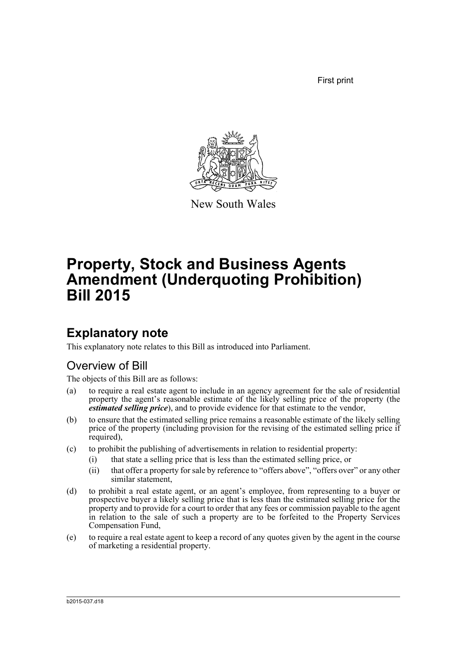First print



New South Wales

# **Property, Stock and Business Agents Amendment (Underquoting Prohibition) Bill 2015**

## **Explanatory note**

This explanatory note relates to this Bill as introduced into Parliament.

### Overview of Bill

The objects of this Bill are as follows:

- (a) to require a real estate agent to include in an agency agreement for the sale of residential property the agent's reasonable estimate of the likely selling price of the property (the *estimated selling price*), and to provide evidence for that estimate to the vendor,
- (b) to ensure that the estimated selling price remains a reasonable estimate of the likely selling price of the property (including provision for the revising of the estimated selling price if required),
- (c) to prohibit the publishing of advertisements in relation to residential property:
	- (i) that state a selling price that is less than the estimated selling price, or
	- (ii) that offer a property for sale by reference to "offers above", "offers over" or any other similar statement,
- (d) to prohibit a real estate agent, or an agent's employee, from representing to a buyer or prospective buyer a likely selling price that is less than the estimated selling price for the property and to provide for a court to order that any fees or commission payable to the agent in relation to the sale of such a property are to be forfeited to the Property Services Compensation Fund,
- (e) to require a real estate agent to keep a record of any quotes given by the agent in the course of marketing a residential property.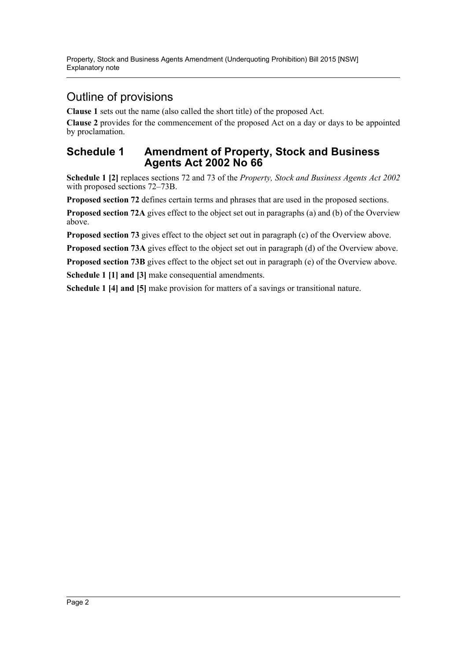### Outline of provisions

**Clause 1** sets out the name (also called the short title) of the proposed Act.

**Clause 2** provides for the commencement of the proposed Act on a day or days to be appointed by proclamation.

#### **Schedule 1 Amendment of Property, Stock and Business Agents Act 2002 No 66**

**Schedule 1 [2]** replaces sections 72 and 73 of the *Property, Stock and Business Agents Act 2002* with proposed sections 72–73B.

**Proposed section 72** defines certain terms and phrases that are used in the proposed sections.

**Proposed section 72A** gives effect to the object set out in paragraphs (a) and (b) of the Overview above.

**Proposed section 73** gives effect to the object set out in paragraph (c) of the Overview above.

**Proposed section 73A** gives effect to the object set out in paragraph (d) of the Overview above.

**Proposed section 73B** gives effect to the object set out in paragraph (e) of the Overview above.

**Schedule 1 [1] and [3]** make consequential amendments.

**Schedule 1 [4] and [5]** make provision for matters of a savings or transitional nature.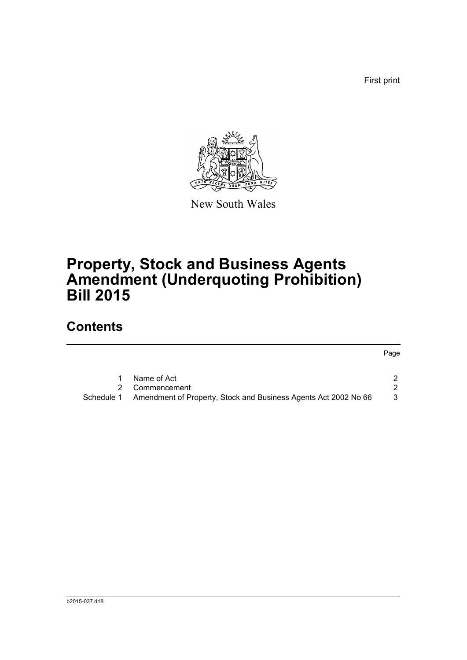First print

Page



New South Wales

## **Property, Stock and Business Agents Amendment (Underquoting Prohibition) Bill 2015**

### **Contents**

[1 Name of Act 2](#page-4-0)

|            | Commencement                                                    |  |
|------------|-----------------------------------------------------------------|--|
| Schedule 1 | Amendment of Property, Stock and Business Agents Act 2002 No 66 |  |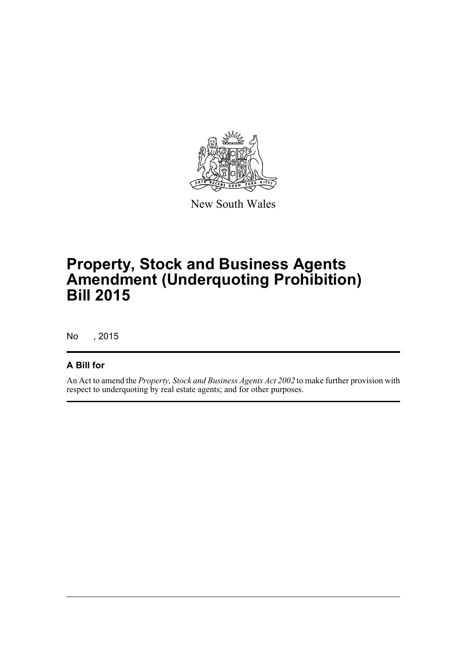

New South Wales

## **Property, Stock and Business Agents Amendment (Underquoting Prohibition) Bill 2015**

No , 2015

#### **A Bill for**

An Act to amend the *Property, Stock and Business Agents Act 2002* to make further provision with respect to underquoting by real estate agents; and for other purposes.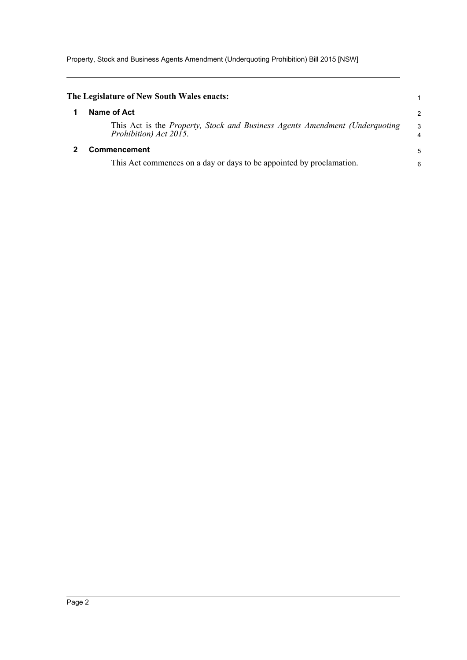Property, Stock and Business Agents Amendment (Underquoting Prohibition) Bill 2015 [NSW]

<span id="page-4-1"></span><span id="page-4-0"></span>

| The Legislature of New South Wales enacts:                                                                                           | 1                            |
|--------------------------------------------------------------------------------------------------------------------------------------|------------------------------|
| Name of Act                                                                                                                          | $\mathcal{P}$                |
| This Act is the <i>Property</i> , <i>Stock and Business Agents Amendment (Underquoting</i> )<br>Prohibition) Act $20\overline{15}$ . | 3<br>$\overline{\mathbf{4}}$ |
| <b>Commencement</b>                                                                                                                  |                              |
| This Act commences on a day or days to be appointed by proclamation.                                                                 | 6                            |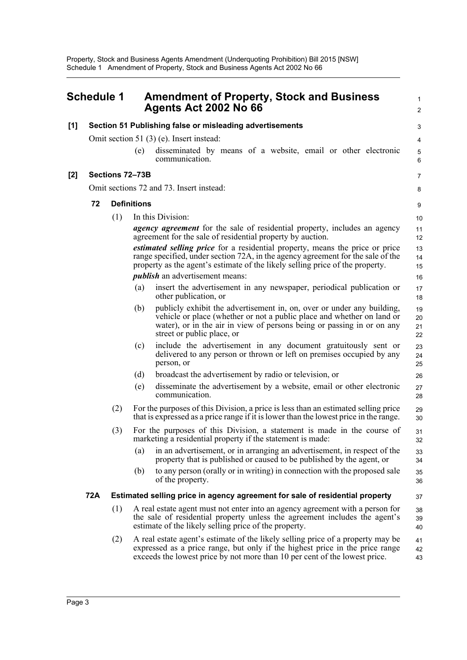<span id="page-5-0"></span>

|     | <b>Schedule 1</b> |     |                    | <b>Amendment of Property, Stock and Business</b><br>Agents Act 2002 No 66                                                                                                                                                                                | $\mathbf{1}$<br>$\overline{2}$ |
|-----|-------------------|-----|--------------------|----------------------------------------------------------------------------------------------------------------------------------------------------------------------------------------------------------------------------------------------------------|--------------------------------|
| [1] |                   |     |                    | Section 51 Publishing false or misleading advertisements                                                                                                                                                                                                 | 3                              |
|     |                   |     |                    | Omit section 51 $(3)$ (e). Insert instead:                                                                                                                                                                                                               | 4                              |
|     |                   |     | (e)                | disseminated by means of a website, email or other electronic<br>communication.                                                                                                                                                                          | 5<br>6                         |
| [2] |                   |     | Sections 72-73B    |                                                                                                                                                                                                                                                          | $\overline{7}$                 |
|     |                   |     |                    | Omit sections 72 and 73. Insert instead:                                                                                                                                                                                                                 | 8                              |
|     | 72                |     | <b>Definitions</b> |                                                                                                                                                                                                                                                          | 9                              |
|     |                   | (1) |                    | In this Division:                                                                                                                                                                                                                                        | 10                             |
|     |                   |     |                    | <i>agency agreement</i> for the sale of residential property, includes an agency<br>agreement for the sale of residential property by auction.                                                                                                           | 11<br>12                       |
|     |                   |     |                    | <i>estimated selling price</i> for a residential property, means the price or price<br>range specified, under section 72A, in the agency agreement for the sale of the<br>property as the agent's estimate of the likely selling price of the property.  | 13<br>14<br>15                 |
|     |                   |     |                    | <i>publish</i> an advertisement means:                                                                                                                                                                                                                   | 16                             |
|     |                   |     | (a)                | insert the advertisement in any newspaper, periodical publication or<br>other publication, or                                                                                                                                                            | 17<br>18                       |
|     |                   |     | (b)                | publicly exhibit the advertisement in, on, over or under any building,<br>vehicle or place (whether or not a public place and whether on land or<br>water), or in the air in view of persons being or passing in or on any<br>street or public place, or | 19<br>20<br>21<br>22           |
|     |                   |     | (c)                | include the advertisement in any document gratuitously sent or<br>delivered to any person or thrown or left on premises occupied by any<br>person, or                                                                                                    | 23<br>24<br>25                 |
|     |                   |     | (d)                | broadcast the advertisement by radio or television, or                                                                                                                                                                                                   | 26                             |
|     |                   |     | (e)                | disseminate the advertisement by a website, email or other electronic<br>communication.                                                                                                                                                                  | 27<br>28                       |
|     |                   | (2) |                    | For the purposes of this Division, a price is less than an estimated selling price<br>that is expressed as a price range if it is lower than the lowest price in the range.                                                                              | 29<br>30                       |
|     |                   | (3) |                    | For the purposes of this Division, a statement is made in the course of<br>marketing a residential property if the statement is made:                                                                                                                    | 31<br>32                       |
|     |                   |     | (a)                | in an advertisement, or in arranging an advertisement, in respect of the<br>property that is published or caused to be published by the agent, or                                                                                                        | 33<br>34                       |
|     |                   |     | (b)                | to any person (orally or in writing) in connection with the proposed sale<br>of the property.                                                                                                                                                            | 35<br>36                       |
|     | 72A               |     |                    | Estimated selling price in agency agreement for sale of residential property                                                                                                                                                                             | 37                             |
|     |                   | (1) |                    | A real estate agent must not enter into an agency agreement with a person for<br>the sale of residential property unless the agreement includes the agent's<br>estimate of the likely selling price of the property.                                     | 38<br>39<br>40                 |
|     |                   | (2) |                    | A real estate agent's estimate of the likely selling price of a property may be<br>expressed as a price range, but only if the highest price in the price range<br>exceeds the lowest price by not more than 10 per cent of the lowest price.            | 41<br>42<br>43                 |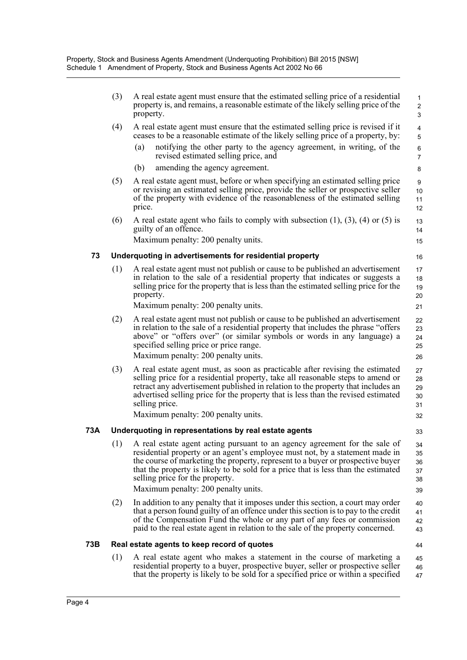|     | (3) | A real estate agent must ensure that the estimated selling price of a residential<br>property is, and remains, a reasonable estimate of the likely selling price of the<br>property.                                                                                                                                                                                                                          | $\mathbf{1}$<br>$\overline{2}$<br>3 |
|-----|-----|---------------------------------------------------------------------------------------------------------------------------------------------------------------------------------------------------------------------------------------------------------------------------------------------------------------------------------------------------------------------------------------------------------------|-------------------------------------|
|     | (4) | A real estate agent must ensure that the estimated selling price is revised if it<br>ceases to be a reasonable estimate of the likely selling price of a property, by:                                                                                                                                                                                                                                        | 4<br>5                              |
|     |     | (a)<br>notifying the other party to the agency agreement, in writing, of the<br>revised estimated selling price, and                                                                                                                                                                                                                                                                                          | 6<br>$\overline{7}$                 |
|     |     | amending the agency agreement.<br>(b)                                                                                                                                                                                                                                                                                                                                                                         | 8                                   |
|     | (5) | A real estate agent must, before or when specifying an estimated selling price<br>or revising an estimated selling price, provide the seller or prospective seller<br>of the property with evidence of the reasonableness of the estimated selling<br>price.                                                                                                                                                  | 9<br>10<br>11<br>12                 |
|     | (6) | A real estate agent who fails to comply with subsection $(1)$ , $(3)$ , $(4)$ or $(5)$ is<br>guilty of an offence.                                                                                                                                                                                                                                                                                            | 13<br>14                            |
|     |     | Maximum penalty: 200 penalty units.                                                                                                                                                                                                                                                                                                                                                                           | 15                                  |
| 73  |     | Underquoting in advertisements for residential property                                                                                                                                                                                                                                                                                                                                                       | 16                                  |
|     | (1) | A real estate agent must not publish or cause to be published an advertisement<br>in relation to the sale of a residential property that indicates or suggests a<br>selling price for the property that is less than the estimated selling price for the<br>property.                                                                                                                                         | 17<br>18<br>19<br>20                |
|     |     | Maximum penalty: 200 penalty units.                                                                                                                                                                                                                                                                                                                                                                           | 21                                  |
|     | (2) | A real estate agent must not publish or cause to be published an advertisement<br>in relation to the sale of a residential property that includes the phrase "offers"<br>above" or "offers over" (or similar symbols or words in any language) a<br>specified selling price or price range.<br>Maximum penalty: 200 penalty units.                                                                            | 22<br>23<br>24<br>25<br>26          |
|     | (3) | A real estate agent must, as soon as practicable after revising the estimated<br>selling price for a residential property, take all reasonable steps to amend or<br>retract any advertisement published in relation to the property that includes an<br>advertised selling price for the property that is less than the revised estimated<br>selling price.<br>Maximum penalty: 200 penalty units.            | 27<br>28<br>29<br>30<br>31<br>32    |
| 73A |     | Underquoting in representations by real estate agents                                                                                                                                                                                                                                                                                                                                                         | 33                                  |
|     | (1) | A real estate agent acting pursuant to an agency agreement for the sale of<br>residential property or an agent's employee must not, by a statement made in<br>the course of marketing the property, represent to a buyer or prospective buyer<br>that the property is likely to be sold for a price that is less than the estimated<br>selling price for the property.<br>Maximum penalty: 200 penalty units. | 34<br>35<br>36<br>37<br>38<br>39    |
|     | (2) | In addition to any penalty that it imposes under this section, a court may order<br>that a person found guilty of an offence under this section is to pay to the credit<br>of the Compensation Fund the whole or any part of any fees or commission<br>paid to the real estate agent in relation to the sale of the property concerned.                                                                       | 40<br>41<br>42<br>43                |
| 73B |     | Real estate agents to keep record of quotes                                                                                                                                                                                                                                                                                                                                                                   | 44                                  |
|     | (1) | A real estate agent who makes a statement in the course of marketing a<br>residential property to a buyer, prospective buyer, seller or prospective seller<br>that the property is likely to be sold for a specified price or within a specified                                                                                                                                                              | 45<br>46<br>47                      |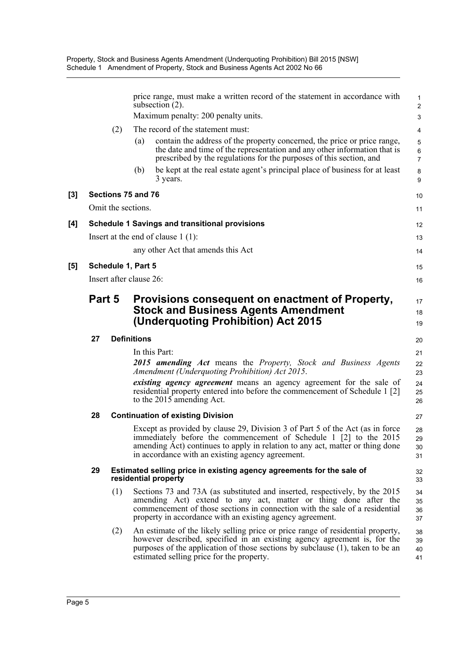Property, Stock and Business Agents Amendment (Underquoting Prohibition) Bill 2015 [NSW] Schedule 1 Amendment of Property, Stock and Business Agents Act 2002 No 66

|     |                    |                         |                    | price range, must make a written record of the statement in accordance with<br>subsection $(2)$ .                                                                                                                                                                                          | $\mathbf{1}$<br>$\overline{c}$ |
|-----|--------------------|-------------------------|--------------------|--------------------------------------------------------------------------------------------------------------------------------------------------------------------------------------------------------------------------------------------------------------------------------------------|--------------------------------|
|     |                    |                         |                    | Maximum penalty: 200 penalty units.                                                                                                                                                                                                                                                        | 3                              |
|     |                    | (2)                     |                    | The record of the statement must:                                                                                                                                                                                                                                                          | 4                              |
|     |                    |                         | (a)                | contain the address of the property concerned, the price or price range,<br>the date and time of the representation and any other information that is<br>prescribed by the regulations for the purposes of this section, and                                                               | 5<br>6<br>$\overline{7}$       |
|     |                    |                         | (b)                | be kept at the real estate agent's principal place of business for at least<br>3 years.                                                                                                                                                                                                    | 8<br>9                         |
| [3] |                    | Sections 75 and 76      |                    |                                                                                                                                                                                                                                                                                            | 10                             |
|     |                    | Omit the sections.      |                    |                                                                                                                                                                                                                                                                                            | 11                             |
| [4] |                    |                         |                    | <b>Schedule 1 Savings and transitional provisions</b>                                                                                                                                                                                                                                      | 12                             |
|     |                    |                         |                    | Insert at the end of clause $1(1)$ :                                                                                                                                                                                                                                                       | 13                             |
|     |                    |                         |                    | any other Act that amends this Act                                                                                                                                                                                                                                                         | 14                             |
| [5] | Schedule 1, Part 5 |                         |                    |                                                                                                                                                                                                                                                                                            | 15                             |
|     |                    | Insert after clause 26: |                    |                                                                                                                                                                                                                                                                                            | 16                             |
|     |                    | Part 5                  |                    | Provisions consequent on enactment of Property,<br><b>Stock and Business Agents Amendment</b><br>(Underquoting Prohibition) Act 2015                                                                                                                                                       | 17<br>18<br>19                 |
|     | 27                 |                         | <b>Definitions</b> |                                                                                                                                                                                                                                                                                            | 20                             |
|     |                    |                         |                    | In this Part:                                                                                                                                                                                                                                                                              | 21                             |
|     |                    |                         |                    | 2015 amending Act means the Property, Stock and Business Agents<br>Amendment (Underquoting Prohibition) Act 2015.                                                                                                                                                                          | 22<br>23                       |
|     |                    |                         |                    | existing agency agreement means an agency agreement for the sale of<br>residential property entered into before the commencement of Schedule 1 [2]<br>to the 2015 amending Act.                                                                                                            | 24<br>25<br>26                 |
|     | 28                 |                         |                    | <b>Continuation of existing Division</b>                                                                                                                                                                                                                                                   | 27                             |
|     |                    |                         |                    | Except as provided by clause 29, Division 3 of Part 5 of the Act (as in force<br>immediately before the commencement of Schedule 1 [2] to the 2015<br>amending Act) continues to apply in relation to any act, matter or thing done<br>in accordance with an existing agency agreement.    | 28<br>29<br>30<br>31           |
|     | 29                 |                         |                    | Estimated selling price in existing agency agreements for the sale of<br>residential property                                                                                                                                                                                              | 32<br>33                       |
|     |                    | (1)                     |                    | Sections 73 and 73A (as substituted and inserted, respectively, by the 2015<br>amending Act) extend to any act, matter or thing done after the<br>commencement of those sections in connection with the sale of a residential<br>property in accordance with an existing agency agreement. | 34<br>35<br>36<br>37           |
|     |                    | (2)                     |                    | An estimate of the likely selling price or price range of residential property,<br>however described, specified in an existing agency agreement is, for the<br>purposes of the application of those sections by subclause (1), taken to be an<br>estimated selling price for the property. | 38<br>39<br>40<br>41           |